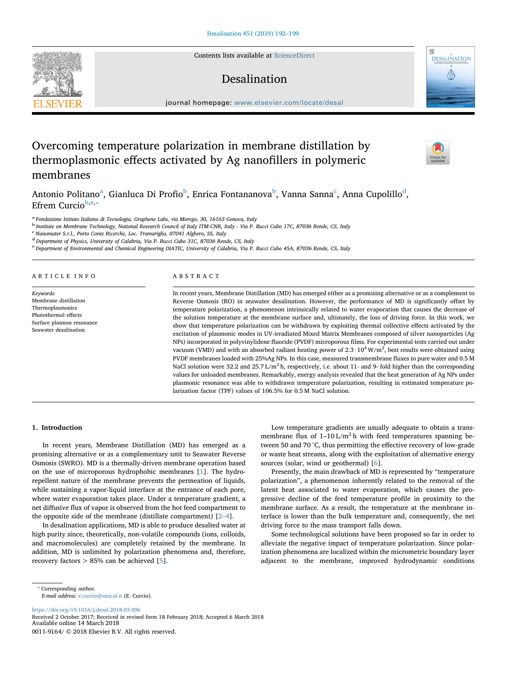Contents lists available at [ScienceDirect](http://www.sciencedirect.com/science/journal/00119164)

## Desalination

journal homepage: [www.elsevier.com/locate/desal](https://www.elsevier.com/locate/desal)

# Overcoming temperature polarization in membrane distillation by thermoplasmonic effects activated by Ag nanofillers in polymeric membranes

Antonio Polit[a](#page-0-0)no<sup>a</sup>, Gianluca Di Profio<sup>[b](#page-0-1)</sup>, Enri[c](#page-0-2)a Fontananova<sup>b</sup>, Vanna Sanna<sup>c</sup>, Anna Cupolillo<sup>[d](#page-0-3)</sup>, Efrem Curcio $b,e,*$  $b,e,*$  $b,e,*$ 

<span id="page-0-0"></span><sup>a</sup> Fondazione Istituto Italiano di Tecnologia, Graphene Labs, via Morego, 30, 16163 Genova, Italy

<span id="page-0-1"></span><sup>b</sup> Institute on Membrane Technology, National Research Council of Italy ITM-CNR, Italy - Via P. Bucci Cubo 17C, 87036 Rende, CS, Italy

<span id="page-0-2"></span>c Nanomater S.r.l., Porto Conte Ricerche, Loc. Tramariglio, 07041 Alghero, SS, Italy

<span id="page-0-3"></span><sup>d</sup> Department of Physics, University of Calabria, Via P. Bucci Cubo 31C, 87036 Rende, CS, Italy

<span id="page-0-4"></span>e Department of Environmental and Chemical Engineering DIATIC, University of Calabria, Via P. Bucci Cubo 45A, 87036 Rende, CS, Italy

## ARTICLE INFO

Keywords: Membrane distillation Thermoplasmonics Photothermal effects Surface plasmon resonance Seawater desalination

## ABSTRACT

In recent years, Membrane Distillation (MD) has emerged either as a promising alternative or as a complement to Reverse Osmosis (RO) in seawater desalination. However, the performance of MD is significantly offset by temperature polarization, a phenomenon intrinsically related to water evaporation that causes the decrease of the solution temperature at the membrane surface and, ultimately, the loss of driving force. In this work, we show that temperature polarization can be withdrawn by exploiting thermal collective effects activated by the excitation of plasmonic modes in UV-irradiated Mixed Matrix Membranes composed of silver nanoparticles (Ag NPs) incorporated in polyvinylidene fluoride (PVDF) microporous films. For experimental tests carried out under vacuum (VMD) and with an absorbed radiant heating power of  $2.3 \cdot 10^4$  W/m<sup>2</sup>, best results were obtained using PVDF membranes loaded with 25%Ag NPs. In this case, measured transmembrane fluxes to pure water and 0.5 M NaCl solution were 32.2 and 25.7 L/m<sup>2</sup> h, respectively, i.e. about 11- and 9- fold higher than the corresponding values for unloaded membranes. Remarkably, energy analysis revealed that the heat generation of Ag NPs under plasmonic resonance was able to withdrawn temperature polarization, resulting in estimated temperature polarization factor (TPF) values of 106.5% for 0.5 M NaCl solution.

## 1. Introduction

In recent years, Membrane Distillation (MD) has emerged as a promising alternative or as a complementary unit to Seawater Reverse Osmosis (SWRO). MD is a thermally-driven membrane operation based on the use of microporous hydrophobic membranes [[1](#page-6-0)]. The hydrorepellent nature of the membrane prevents the permeation of liquids, while sustaining a vapor-liquid interface at the entrance of each pore, where water evaporation takes place. Under a temperature gradient, a net diffusive flux of vapor is observed from the hot feed compartment to the opposite side of the membrane (distillate compartment) [\[2](#page-6-1)–4].

In desalination applications, MD is able to produce desalted water at high purity since, theoretically, non-volatile compounds (ions, colloids, and macromolecules) are completely retained by the membrane. In addition, MD is unlimited by polarization phenomena and, therefore, recovery factors > 85% can be achieved [\[5\]](#page-6-2).

Low temperature gradients are usually adequate to obtain a transmembrane flux of  $1-10 \text{ L/m}^2$  h with feed temperatures spanning between 50 and 70 °C, thus permitting the effective recovery of low-grade or waste heat streams, along with the exploitation of alternative energy sources (solar, wind or geothermal) [[6](#page-6-3)].

Presently, the main drawback of MD is represented by "temperature polarization", a phenomenon inherently related to the removal of the latent heat associated to water evaporation, which causes the progressive decline of the feed temperature profile in proximity to the membrane surface. As a result, the temperature at the membrane interface is lower than the bulk temperature and, consequently, the net driving force to the mass transport falls down.

Some technological solutions have been proposed so far in order to alleviate the negative impact of temperature polarization. Since polarization phenomena are localized within the micrometric boundary layer adjacent to the membrane, improved hydrodynamic conditions

<span id="page-0-5"></span>⁎ Corresponding author.

E-mail address: [e.curcio@unical.it](mailto:e.curcio@unical.it) (E. Curcio).

<https://doi.org/10.1016/j.desal.2018.03.006>

Received 2 October 2017; Received in revised form 18 February 2018; Accepted 6 March 2018 Available online 14 March 2018 0011-9164/ © 2018 Elsevier B.V. All rights reserved.





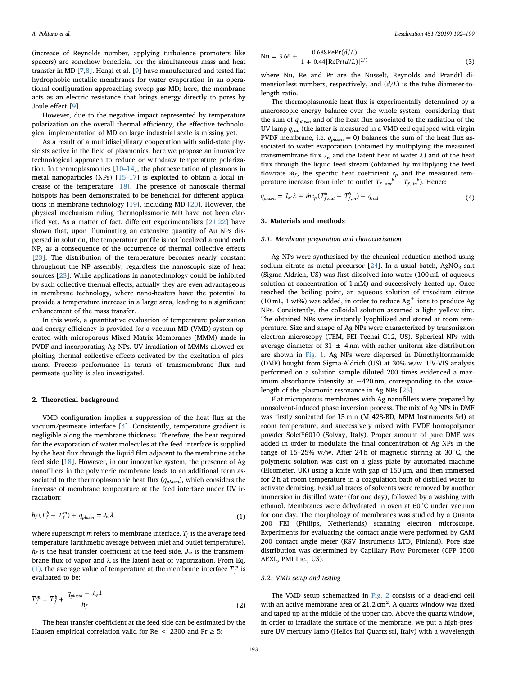(increase of Reynolds number, applying turbulence promoters like spacers) are somehow beneficial for the simultaneous mass and heat transfer in MD [[7](#page-6-4),[8](#page-6-5)]. Hengl et al. [[9](#page-7-0)] have manufactured and tested flat hydrophobic metallic membranes for water evaporation in an operational configuration approaching sweep gas MD; here, the membrane acts as an electric resistance that brings energy directly to pores by Joule effect [[9](#page-7-0)].

However, due to the negative impact represented by temperature polarization on the overall thermal efficiency, the effective technological implementation of MD on large industrial scale is missing yet.

As a result of a multidisciplinary cooperation with solid-state physicists active in the field of plasmonics, here we propose an innovative technological approach to reduce or withdraw temperature polarization. In thermoplasmonics [10–[14\]](#page-7-1), the photoexcitation of plasmons in metal nanoparticles (NPs) [15–[17\]](#page-7-2) is exploited to obtain a local increase of the temperature [[18\]](#page-7-3). The presence of nanoscale thermal hotspots has been demonstrated to be beneficial for different applications in membrane technology [\[19](#page-7-4)], including MD [[20\]](#page-7-5). However, the physical mechanism ruling thermoplasmonic MD have not been clarified yet. As a matter of fact, different experimentalists [\[21](#page-7-6)[,22](#page-7-7)] have shown that, upon illuminating an extensive quantity of Au NPs dispersed in solution, the temperature profile is not localized around each NP, as a consequence of the occurrence of thermal collective effects [[23\]](#page-7-8). The distribution of the temperature becomes nearly constant throughout the NP assembly, regardless the nanoscopic size of heat sources [[23\]](#page-7-8). While applications in nanotechnology could be inhibited by such collective thermal effects, actually they are even advantageous in membrane technology, where nano-heaters have the potential to provide a temperature increase in a large area, leading to a significant enhancement of the mass transfer.

In this work, a quantitative evaluation of temperature polarization and energy efficiency is provided for a vacuum MD (VMD) system operated with microporous Mixed Matrix Membranes (MMM) made in PVDF and incorporating Ag NPs. UV-irradiation of MMMs allowed exploiting thermal collective effects activated by the excitation of plasmons. Process performance in terms of transmembrane flux and permeate quality is also investigated.

#### 2. Theoretical background

VMD configuration implies a suppression of the heat flux at the vacuum/permeate interface [[4](#page-6-6)]. Consistently, temperature gradient is negligible along the membrane thickness. Therefore, the heat required for the evaporation of water molecules at the feed interface is supplied by the heat flux through the liquid film adjacent to the membrane at the feed side [\[18](#page-7-3)]. However, in our innovative system, the presence of Ag nanofillers in the polymeric membrane leads to an additional term associated to the thermoplasmonic heat flux  $(q_{plasm})$ , which considers the increase of membrane temperature at the feed interface under UV irradiation:

<span id="page-1-0"></span>
$$
h_f(\overline{T}_f^b - \overline{T}_f^m) + q_{plasm} = J_w \lambda \tag{1}
$$

where superscript *m* refers to membrane interface,  $\overline{T_f}$  is the average feed temperature (arithmetic average between inlet and outlet temperature),  $h_f$  is the heat transfer coefficient at the feed side,  $J_w$  is the transmembrane flux of vapor and  $\lambda$  is the latent heat of vaporization. From Eq. [\(1\)](#page-1-0), the average value of temperature at the membrane interface  $\overline{T}_{f}^{m}$  is evaluated to be:

<span id="page-1-2"></span>
$$
\overline{T}_f^m = \overline{T}_f^b + \frac{q_{plasm} - J_w \lambda}{h_f} \tag{2}
$$

The heat transfer coefficient at the feed side can be estimated by the Hausen empirical correlation valid for Re  $\leq$  2300 and Pr  $\geq$  5:

193

Nu = 3.66 + 
$$
\frac{0.688 \text{RePr}(d/L)}{1 + 0.44 [\text{RePr}(d/L)]^{2/3}}
$$
(3)

where Nu, Re and Pr are the Nusselt, Reynolds and Prandtl dimensionless numbers, respectively, and  $(d/L)$  is the tube diameter-tolength ratio.

The thermoplasmonic heat flux is experimentally determined by a macroscopic energy balance over the whole system, considering that the sum of  $q_{plasm}$  and of the heat flux associated to the radiation of the UV lamp  $q_{rad}$  (the latter is measured in a VMD cell equipped with virgin PVDF membrane, i.e.  $q_{plasm} = 0$ ) balances the sum of the heat flux associated to water evaporation (obtained by multiplying the measured transmembrane flux  $J_w$  and the latent heat of water  $\lambda$ ) and of the heat flux through the liquid feed stream (obtained by multiplying the feed flowrate  $\dot{m}_f$ , the specific heat coefficient  $c_p$  and the measured temperature increase from inlet to outlet  $T_{f, out}^b - T_{f, in}^b$ ). Hence:

<span id="page-1-3"></span>
$$
q_{plasm} = J_w \cdot \lambda + \dot{m}c_p (T_{f,out}^b - T_{f,in}^b) - q_{rad}
$$
\n
$$
\tag{4}
$$

## 3. Materials and methods

### <span id="page-1-1"></span>3.1. Membrane preparation and characterization

Ag NPs were synthesized by the chemical reduction method using sodium citrate as metal precursor  $[24]$  $[24]$ . In a usual batch, AgNO<sub>3</sub> salt (Sigma-Aldrich, US) was first dissolved into water (100 mL of aqueous solution at concentration of 1 mM) and successively heated up. Once reached the boiling point, an aqueous solution of trisodium citrate (10 mL, 1 wt%) was added, in order to reduce  $Ag<sup>+</sup>$  ions to produce Ag NPs. Consistently, the colloidal solution assumed a light yellow tint. The obtained NPs were instantly lyophilized and stored at room temperature. Size and shape of Ag NPs were characterized by transmission electron microscopy (TEM, FEI Tecnai G12, US). Spherical NPs with average diameter of 31  $\pm$  4 nm with rather uniform size distribution are shown in [Fig. 1.](#page-2-0) Ag NPs were dispersed in Dimethylformamide (DMF) bought from Sigma-Aldrich (US) at 30% w/w. UV-VIS analysis performed on a solution sample diluted 200 times evidenced a maximum absorbance intensity at  $\sim$  420 nm, corresponding to the wavelength of the plasmonic resonance in Ag NPs [[25\]](#page-7-10).

Flat microporous membranes with Ag nanofillers were prepared by nonsolvent-induced phase inversion process. The mix of Ag NPs in DMF was firstly sonicated for 15 min (M 428-BD, MPM Instruments Srl) at room temperature, and successively mixed with PVDF homopolymer powder Solef®6010 (Solvay, Italy). Proper amount of pure DMF was added in order to modulate the final concentration of Ag NPs in the range of 15–25% w/w. After 24 h of magnetic stirring at 30 °C, the polymeric solution was cast on a glass plate by automated machine (Elcometer, UK) using a knife with gap of 150 μm, and then immersed for 2 h at room temperature in a coagulation bath of distilled water to activate demixing. Residual traces of solvents were removed by another immersion in distilled water (for one day), followed by a washing with ethanol. Membranes were dehydrated in oven at 60 °C under vacuum for one day. The morphology of membranes was studied by a Quanta 200 FEI (Philips, Netherlands) scanning electron microscope. Experiments for evaluating the contact angle were performed by CAM 200 contact angle meter (KSV Instruments LTD, Finland). Pore size distribution was determined by Capillary Flow Porometer (CFP 1500 AEXL, PMI Inc., US).

## 3.2. VMD setup and testing

The VMD setup schematized in [Fig. 2](#page-2-1) consists of a dead-end cell with an active membrane area of  $21.2 \text{ cm}^2$ . A quartz window was fixed and taped up at the middle of the upper cap. Above the quartz window, in order to irradiate the surface of the membrane, we put a high-pressure UV mercury lamp (Helios Ital Quartz srl, Italy) with a wavelength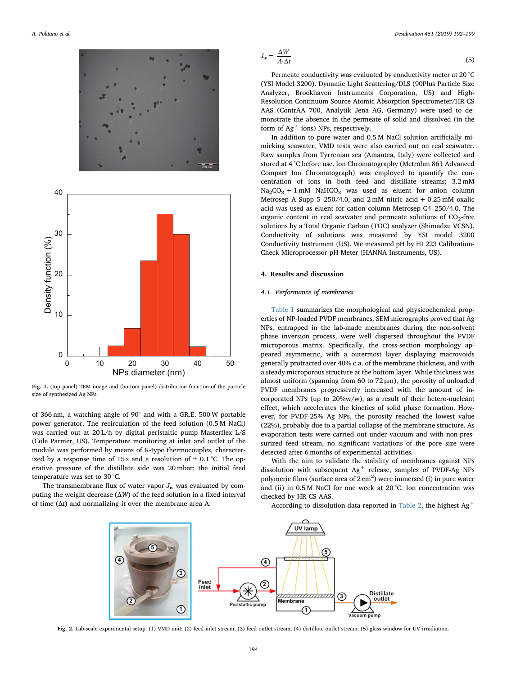<span id="page-2-0"></span>

Fig. 1. (top panel) TEM image and (bottom panel) distribution function of the particle size of synthesized Ag NPs.

of 366 nm, a watching angle of 90° and with a GR.E. 500 W portable power generator. The recirculation of the feed solution (0.5 M NaCl) was carried out at 20 L/h by digital peristaltic pump Masterflex L/S (Cole Parmer, US). Temperature monitoring at inlet and outlet of the module was performed by means of K-type thermocouples, characterized by a response time of 15 s and a resolution of  $\pm$  0.1 °C. The operative pressure of the distillate side was 20 mbar; the initial feed temperature was set to 30 °C.

<span id="page-2-1"></span>The transmembrane flux of water vapor  $J_w$  was evaluated by computing the weight decrease ( $\Delta W$ ) of the feed solution in a fixed interval of time  $(\Delta t)$  and normalizing it over the membrane area A:

$$
J_w = \frac{\Delta W}{A \cdot \Delta t} \tag{5}
$$

Permeate conductivity was evaluated by conductivity meter at 20 °C (YSI Model 3200). Dynamic Light Scattering/DLS (90Plus Particle Size Analyzer, Brookhaven Instruments Corporation, US) and High-Resolution Continuum Source Atomic Absorption Spectrometer/HR-CS AAS (ContrAA 700, Analytik Jena AG, Germany) were used to demonstrate the absence in the permeate of solid and dissolved (in the form of  $Ag^+$  ions) NPs, respectively.

In addition to pure water and 0.5 M NaCl solution artificially mimicking seawater, VMD tests were also carried out on real seawater. Raw samples from Tyrrenian sea (Amantea, Italy) were collected and stored at 4 °C before use. Ion Chromatography (Metrohm 861 Advanced Compact Ion Chromatograph) was employed to quantify the concentration of ions in both feed and distillate streams; 3.2 mM  $Na<sub>2</sub>CO<sub>3</sub> + 1$  mM NaHCO<sub>3</sub> was used as eluent for anion column Metrosep A Supp  $5-250/4.0$ , and  $2 \text{ mM}$  nitric acid  $+ 0.25 \text{ mM}$  oxalic acid was used as eluent for cation column Metrosep C4–250/4.0. The organic content in real seawater and permeate solutions of  $CO<sub>2</sub>$ -free solutions by a Total Organic Carbon (TOC) analyzer (Shimadzu VCSN). Conductivity of solutions was measured by YSI model 3200 Conductivity Instrument (US). We measured pH by HI 223 Calibration-Check Microprocessor pH Meter (HANNA Instruments, US).

## 4. Results and discussion

## 4.1. Performance of membranes

[Table 1](#page-3-0) summarizes the morphological and physicochemical properties of NP-loaded PVDF membranes. SEM micrographs proved that Ag NPs, entrapped in the lab-made membranes during the non-solvent phase inversion process, were well dispersed throughout the PVDF microporous matrix. Specifically, the cross-section morphology appeared asymmetric, with a outermost layer displaying macrovoids generally protracted over 40% c.a. of the membrane thickness, and with a steady microporous structure at the bottom layer. While thickness was almost uniform (spanning from 60 to  $72 \mu m$ ), the porosity of unloaded PVDF membranes progressively increased with the amount of incorporated NPs (up to  $20\%$ w/w), as a result of their hetero-nucleant effect, which accelerates the kinetics of solid phase formation. However, for PVDF-25% Ag NPs, the porosity reached the lowest value (22%), probably due to a partial collapse of the membrane structure. As evaporation tests were carried out under vacuum and with non-pressurized feed stream, no significant variations of the pore size were detected after 6 months of experimental activities.

With the aim to validate the stability of membranes against NPs dissolution with subsequent  $Ag^+$  release, samples of PVDF-Ag NPs polymeric films (surface area of  $2 \text{ cm}^2$ ) were immersed (i) in pure water and (ii) in 0.5 M NaCl for one week at 20 °C. Ion concentration was checked by HR-CS AAS.

According to dissolution data reported in [Table 2](#page-3-1), the highest Ag<sup>+</sup>



Fig. 2. Lab-scale experimental setup. (1) VMD unit; (2) feed inlet stream; (3) feed outlet stream; (4) distillate outlet stream; (5) glass window for UV irradiation.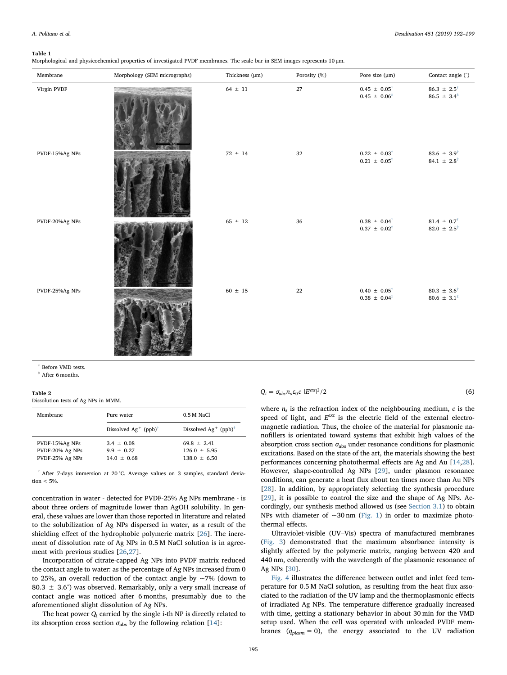#### <span id="page-3-0"></span>Table 1

Morphological and physicochemical properties of investigated PVDF membranes. The scale bar in SEM images represents 10 μm.

| Membrane       | Morphology (SEM micrographs) | Thickness (µm) | Porosity (%) | Pore size (µm)                                          | Contact angle (°)                                          |
|----------------|------------------------------|----------------|--------------|---------------------------------------------------------|------------------------------------------------------------|
| Virgin PVDF    |                              | $64~\pm~11$    | 27           | $0.45 \pm 0.05^{\dagger}$<br>$0.45 \pm 0.06^{\ddagger}$ | $86.3 \pm 2.5^{\dagger}$<br>$86.5 \pm 3.4^*$               |
| PVDF-15%Ag NPs |                              | $72 \pm 14$    | $32\,$       | $0.22 \pm 0.03^{\dagger}$<br>$0.21 \pm 0.05^{\ddagger}$ | 83.6 $\pm$ 3.9 <sup>†</sup><br>84.1 $\pm$ 2.8 <sup>‡</sup> |
| PVDF-20%Ag NPs |                              | $65 \pm 12$    | 36           | $0.38 \pm 0.04^{\dagger}$<br>$0.37 \pm 0.02^{\ddagger}$ | $81.4 \pm 0.7$ <sup>†</sup><br>82.0 $\pm$ 2.5 <sup>*</sup> |
| PVDF-25%Ag NPs |                              | $60 \pm 15$    | 22           | $0.40 \pm 0.05^{\dagger}$<br>$0.38 \pm 0.04^*$          | $80.3 \pm 3.6^{\dagger}$<br>$80.6 \pm 3.1^*$               |

<span id="page-3-2"></span>† Before VMD tests.

<span id="page-3-3"></span>‡ After 6 months.

#### <span id="page-3-1"></span>Table 2

Dissolution tests of Ag NPs in MMM.

| Membrane                                             | Pure water                                      | $0.5 M$ NaCl                                      |
|------------------------------------------------------|-------------------------------------------------|---------------------------------------------------|
|                                                      | Dissolved $Ag^+$ (ppb) <sup>†</sup>             | Dissolved $Ag^+$ (ppb) <sup>†</sup>               |
| PVDF-15%Ag NPs<br>PVDF-20% Ag NPs<br>PVDF-25% Ag NPs | $3.4 \pm 0.08$<br>$9.9 + 0.27$<br>$14.0 + 0.68$ | $69.8 + 2.41$<br>$126.0 + 5.95$<br>$138.0 + 6.50$ |

<span id="page-3-4"></span>† After 7-days immersion at 20 °C. Average values on 3 samples, standard deviation  $< 5%$ 

concentration in water - detected for PVDF-25% Ag NPs membrane - is about three orders of magnitude lower than AgOH solubility. In general, these values are lower than those reported in literature and related to the solubilization of Ag NPs dispersed in water, as a result of the shielding effect of the hydrophobic polymeric matrix [[26\]](#page-7-11). The increment of dissolution rate of Ag NPs in 0.5 M NaCl solution is in agreement with previous studies [[26](#page-7-11)[,27](#page-7-12)].

Incorporation of citrate-capped Ag NPs into PVDF matrix reduced the contact angle to water: as the percentage of Ag NPs increased from 0 to 25%, an overall reduction of the contact angle by  $\sim$ 7% (down to 80.3  $\pm$  3.6°) was observed. Remarkably, only a very small increase of contact angle was noticed after 6 months, presumably due to the aforementioned slight dissolution of Ag NPs.

The heat power  $Q_i$  carried by the single i-th NP is directly related to its absorption cross section  $\sigma_{\text{abs}}$  by the following relation [\[14](#page-7-13)]:

 $Q_i = \sigma_{abs} n_s \varepsilon_0 c \, |E^{ext}|^2 / 2$  (6)

where  $n<sub>s</sub>$  is the refraction index of the neighbouring medium,  $c$  is the speed of light, and  $E^{ext}$  is the electric field of the external electromagnetic radiation. Thus, the choice of the material for plasmonic nanofillers is orientated toward systems that exhibit high values of the absorption cross section  $\sigma_{\text{abs}}$  under resonance conditions for plasmonic excitations. Based on the state of the art, the materials showing the best performances concerning photothermal effects are Ag and Au [[14,](#page-7-13)[28](#page-7-14)]. However, shape-controlled Ag NPs [[29\]](#page-7-15), under plasmon resonance conditions, can generate a heat flux about ten times more than Au NPs [[28\]](#page-7-14). In addition, by appropriately selecting the synthesis procedure [[29\]](#page-7-15), it is possible to control the size and the shape of Ag NPs. Accordingly, our synthesis method allowed us (see [Section 3.1\)](#page-1-1) to obtain NPs with diameter of  $\sim$ 30 nm ([Fig. 1\)](#page-2-0) in order to maximize photothermal effects.

Ultraviolet-visible (UV–Vis) spectra of manufactured membranes ([Fig. 3\)](#page-4-0) demonstrated that the maximum absorbance intensity is slightly affected by the polymeric matrix, ranging between 420 and 440 nm, coherently with the wavelength of the plasmonic resonance of Ag NPs [\[30](#page-7-16)].

[Fig. 4](#page-4-1) illustrates the difference between outlet and inlet feed temperature for 0.5 M NaCl solution, as resulting from the heat flux associated to the radiation of the UV lamp and the thermoplasmonic effects of irradiated Ag NPs. The temperature difference gradually increased with time, getting a stationary behavior in about 30 min for the VMD setup used. When the cell was operated with unloaded PVDF membranes ( $q_{plasm} = 0$ ), the energy associated to the UV radiation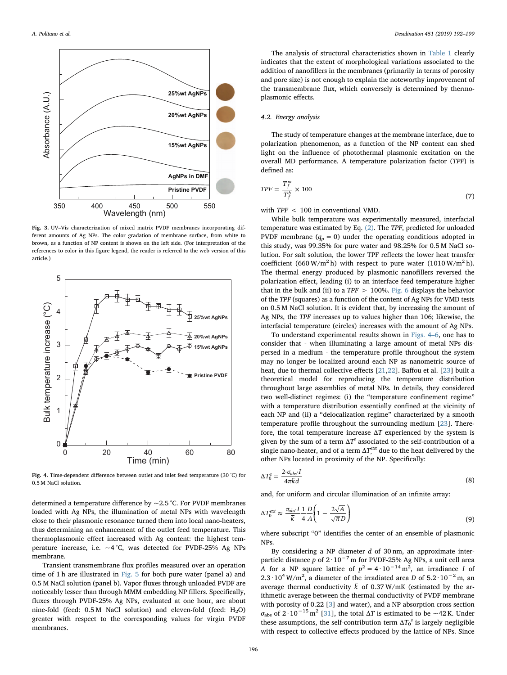<span id="page-4-0"></span>

Fig. 3. UV–Vis characterization of mixed matrix PVDF membranes incorporating different amounts of Ag NPs. The color gradation of membrane surface, from white to brown, as a function of NP content is shown on the left side. (For interpretation of the references to color in this figure legend, the reader is referred to the web version of this article.)

<span id="page-4-1"></span>

Fig. 4. Time-dependent difference between outlet and inlet feed temperature (30 °C) for 0.5 M NaCl solution.

determined a temperature difference by  $\sim$  2.5 °C. For PVDF membranes loaded with Ag NPs, the illumination of metal NPs with wavelength close to their plasmonic resonance turned them into local nano-heaters, thus determining an enhancement of the outlet feed temperature. This thermoplasmonic effect increased with Ag content: the highest temperature increase, i.e.  $\sim$ 4 °C, was detected for PVDF-25% Ag NPs membrane.

Transient transmembrane flux profiles measured over an operation time of 1 h are illustrated in [Fig. 5](#page-5-0) for both pure water (panel a) and 0.5 M NaCl solution (panel b). Vapor fluxes through unloaded PVDF are noticeably lesser than through MMM embedding NP fillers. Specifically, fluxes through PVDF-25% Ag NPs, evaluated at one hour, are about nine-fold (feed:  $0.5 M$  NaCl solution) and eleven-fold (feed:  $H_2O$ ) greater with respect to the corresponding values for virgin PVDF membranes.

The analysis of structural characteristics shown in [Table 1](#page-3-0) clearly indicates that the extent of morphological variations associated to the addition of nanofillers in the membranes (primarily in terms of porosity and pore size) is not enough to explain the noteworthy improvement of the transmembrane flux, which conversely is determined by thermoplasmonic effects.

## 4.2. Energy analysis

The study of temperature changes at the membrane interface, due to polarization phenomenon, as a function of the NP content can shed light on the influence of photothermal plasmonic excitation on the overall MD performance. A temperature polarization factor (TPF) is defined as:

$$
TPF = \frac{\overline{T}_{f}^{m}}{\overline{T}_{f}^{b}} \times 100
$$
\n<sup>(7)</sup>

with TPF < 100 in conventional VMD.

While bulk temperature was experimentally measured, interfacial temperature was estimated by Eq. [\(2\)](#page-1-2). The TPF, predicted for unloaded PVDF membrane ( $q_p = 0$ ) under the operating conditions adopted in this study, was 99.35% for pure water and 98.25% for 0.5 M NaCl solution. For salt solution, the lower TPF reflects the lower heat transfer coefficient (660 W/m<sup>2</sup> h) with respect to pure water (1010 W/m<sup>2</sup> h). The thermal energy produced by plasmonic nanofillers reversed the polarization effect, leading (i) to an interface feed temperature higher that in the bulk and (ii) to a  $TPF > 100\%$ . [Fig. 6](#page-5-1) displays the behavior of the TPF (squares) as a function of the content of Ag NPs for VMD tests on 0.5 M NaCl solution. It is evident that, by increasing the amount of Ag NPs, the TPF increases up to values higher than 106; likewise, the interfacial temperature (circles) increases with the amount of Ag NPs.

To understand experimental results shown in [Figs. 4](#page-4-1)–6, one has to consider that - when illuminating a large amount of metal NPs dispersed in a medium - the temperature profile throughout the system may no longer be localized around each NP as nanometric source of heat, due to thermal collective effects [\[21](#page-7-6),[22](#page-7-7)]. Baffou et al. [\[23](#page-7-8)] built a theoretical model for reproducing the temperature distribution throughout large assemblies of metal NPs. In details, they considered two well-distinct regimes: (i) the "temperature confinement regime" with a temperature distribution essentially confined at the vicinity of each NP and (ii) a "delocalization regime" characterized by a smooth temperature profile throughout the surrounding medium [\[23](#page-7-8)]. Therefore, the total temperature increase  $\Delta T$  experienced by the system is given by the sum of a term  $\Delta T^s$  associated to the self-contribution of a single nano-heater, and of a term  $\Delta T$ <sup>ext</sup> due to the heat delivered by the other NPs located in proximity of the NP. Specifically:

<span id="page-4-2"></span>
$$
\Delta T_0^s = \frac{2 \cdot \sigma_{abs} \cdot I}{4\pi \overline{k} d} \tag{8}
$$

and, for uniform and circular illumination of an infinite array:

$$
\Delta T_0^{\text{ext}} \approx \frac{\sigma_{\text{abs}} I}{\overline{k}} \frac{1}{4} \frac{D}{A} \left( 1 - \frac{2\sqrt{A}}{\sqrt{\pi} D} \right) \tag{9}
$$

where subscript "0" identifies the center of an ensemble of plasmonic NPs.

By considering a NP diameter  $d$  of 30 nm, an approximate interparticle distance p of  $2 \cdot 10^{-7}$  m for PVDF-25% Ag NPs, a unit cell area A for a NP square lattice of  $p^2 = 4 \cdot 10^{-14}$  m<sup>2</sup>, an irradiance I of  $2.3 \cdot 10^4$  W/m<sup>2</sup>, a diameter of the irradiated area D of  $5.2 \cdot 10^{-2}$  m, an average thermal conductivity  $\overline{k}$  of 0.37 W/mK (estimated by the arithmetic average between the thermal conductivity of PVDF membrane with porosity of 0.22 [\[3\]](#page-6-7) and water), and a NP absorption cross section  $\sigma_{\text{abs}}$  of 2 · 10<sup>-15</sup> m<sup>2</sup> [\[31](#page-7-17)], the total  $\Delta T$  is estimated to be ~42 K. Under these assumptions, the self-contribution term  $\Delta T_0^s$  is largely negligible with respect to collective effects produced by the lattice of NPs. Since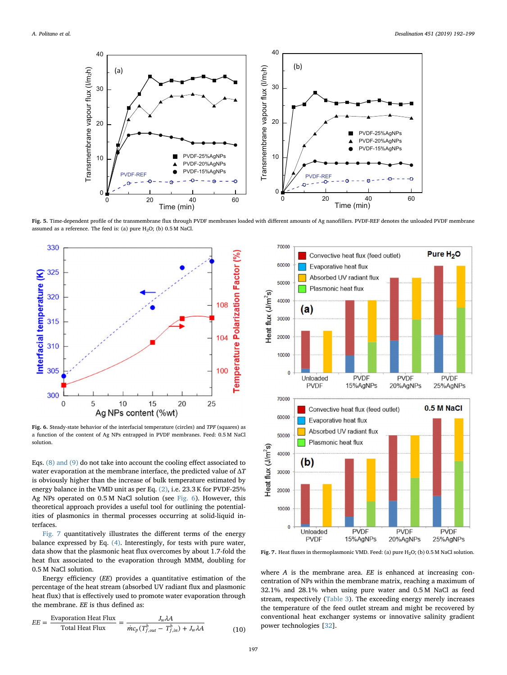<span id="page-5-0"></span>

Fig. 5. Time-dependent profile of the transmembrane flux through PVDF membranes loaded with different amounts of Ag nanofillers. PVDF-REF denotes the unloaded PVDF membrane assumed as a reference. The feed is: (a) pure  $H_2O$ ; (b) 0.5 M NaCl.

<span id="page-5-1"></span>

Fig. 6. Steady-state behavior of the interfacial temperature (circles) and TPF (squares) as a function of the content of Ag NPs entrapped in PVDF membranes. Feed: 0.5 M NaCl solution.

Eqs. [\(8\) and \(9\)](#page-4-2) do not take into account the cooling effect associated to water evaporation at the membrane interface, the predicted value of  $\Delta T$ is obviously higher than the increase of bulk temperature estimated by energy balance in the VMD unit as per Eq. [\(2\)](#page-1-2), i.e. 23.3 K for PVDF-25% Ag NPs operated on 0.5 M NaCl solution (see [Fig. 6\)](#page-5-1). However, this theoretical approach provides a useful tool for outlining the potentialities of plasmonics in thermal processes occurring at solid-liquid interfaces.

[Fig. 7](#page-5-2) quantitatively illustrates the different terms of the energy balance expressed by Eq. [\(4\).](#page-1-3) Interestingly, for tests with pure water, data show that the plasmonic heat flux overcomes by about 1.7-fold the heat flux associated to the evaporation through MMM, doubling for 0.5 M NaCl solution.

Energy efficiency (EE) provides a quantitative estimation of the percentage of the heat stream (absorbed UV radiant flux and plasmonic heat flux) that is effectively used to promote water evaporation through the membrane. EE is thus defined as:

$$
EE = \frac{\text{Evaporation Heat Flux}}{\text{Total Heat Flux}} = \frac{J_w \lambda A}{\dot{m}c_p (T_{f,out}^b - T_{f,in}^b) + J_w \lambda A}
$$
(10)

<span id="page-5-2"></span>

Fig. 7. Heat fluxes in thermoplasmonic VMD. Feed: (a) pure  $H<sub>2</sub>O$ ; (b) 0.5 M NaCl solution.

where A is the membrane area. EE is enhanced at increasing concentration of NPs within the membrane matrix, reaching a maximum of 32.1% and 28.1% when using pure water and 0.5 M NaCl as feed stream, respectively [\(Table 3](#page-6-8)). The exceeding energy merely increases the temperature of the feed outlet stream and might be recovered by conventional heat exchanger systems or innovative salinity gradient power technologies [\[32](#page-7-18)].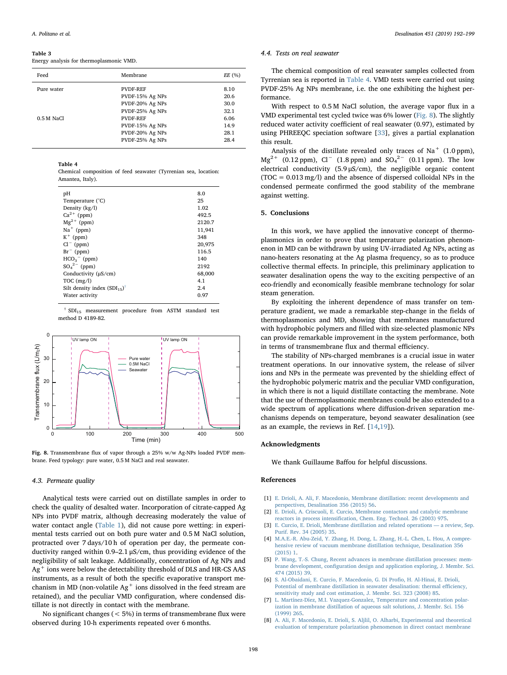#### <span id="page-6-8"></span>Table 3

Energy analysis for thermoplasmonic VMD.

| Feed         | Membrane        | EE(%) |
|--------------|-----------------|-------|
| Pure water   | <b>PVDF-REF</b> | 8.10  |
|              | PVDF-15% Ag NPs | 20.6  |
|              | PVDF-20% Ag NPs | 30.0  |
|              | PVDF-25% Ag NPs | 32.1  |
| $0.5 M$ NaCl | <b>PVDF-REF</b> | 6.06  |
|              | PVDF-15% Ag NPs | 14.9  |
|              | PVDF-20% Ag NPs | 28.1  |
|              | PVDF-25% Ag NPs | 28.4  |
|              |                 |       |

#### <span id="page-6-9"></span>Table 4

Chemical composition of feed seawater (Tyrrenian sea, location: Amantea, Italy).

| pH                                | 8.0    |
|-----------------------------------|--------|
| Temperature (°C)                  | 25     |
| Density $(kg/l)$                  | 1.02   |
| $Ca^{2+}$ (ppm)                   | 492.5  |
| $Mg^{2+}$ (ppm)                   | 2120.7 |
| $Na+$ (ppm)                       | 11,941 |
| $K^+$ (ppm)                       | 348    |
| $Cl^{-}$ (ppm)                    | 20,975 |
| $Br^-$ (ppm)                      | 116.5  |
| $HCO3-$ (ppm)                     | 140    |
| $SO_4{}^{2-}$ (ppm)               | 2192   |
| Conductivity $(\mu S/cm)$         | 68,000 |
| TOC $(mg/l)$                      | 4.1    |
| Silt density index $(SDI_{15})^T$ | 2.4    |
| Water activity                    | 0.97   |
|                                   |        |

<span id="page-6-11"></span> $†$  SDI<sub>15</sub> measurement procedure from ASTM standard test method D 4189-82.

<span id="page-6-10"></span>

Fig. 8. Transmembrane flux of vapor through a 25% w/w Ag-NPs loaded PVDF membrane. Feed typology: pure water, 0.5 M NaCl and real seawater.

#### 4.3. Permeate quality

Analytical tests were carried out on distillate samples in order to check the quality of desalted water. Incorporation of citrate-capped Ag NPs into PVDF matrix, although decreasing moderately the value of water contact angle [\(Table 1](#page-3-0)), did not cause pore wetting: in experimental tests carried out on both pure water and 0.5 M NaCl solution, protracted over 7 days/10 h of operation per day, the permeate conductivity ranged within 0.9–2.1 μS/cm, thus providing evidence of the negligibility of salt leakage. Additionally, concentration of Ag NPs and Ag<sup>+</sup> ions were below the detectability threshold of DLS and HR-CS AAS instruments, as a result of both the specific evaporative transport mechanism in MD (non-volatile  $Ag<sup>+</sup>$  ions dissolved in the feed stream are retained), and the peculiar VMD configuration, where condensed distillate is not directly in contact with the membrane.

No significant changes (< 5%) in terms of transmembrane flux were observed during 10-h experiments repeated over 6 months.

#### 4.4. Tests on real seawater

The chemical composition of real seawater samples collected from Tyrrenian sea is reported in [Table 4](#page-6-9). VMD tests were carried out using PVDF-25% Ag NPs membrane, i.e. the one exhibiting the highest performance.

With respect to 0.5 M NaCl solution, the average vapor flux in a VMD experimental test cycled twice was 6% lower [\(Fig. 8\)](#page-6-10). The slightly reduced water activity coefficient of real seawater (0.97), estimated by using PHREEQC speciation software [[33\]](#page-7-19), gives a partial explanation this result.

Analysis of the distillate revealed only traces of  $Na<sup>+</sup>$  (1.0 ppm).  $Mg^{2+}$  (0.12 ppm), Cl<sup>-</sup> (1.8 ppm) and SO<sub>4</sub><sup>2-</sup> (0.11 ppm). The low electrical conductivity (5.9 μS/cm), the negligible organic content (TOC = 0.013 mg/l) and the absence of dispersed colloidal NPs in the condensed permeate confirmed the good stability of the membrane against wetting.

#### 5. Conclusions

In this work, we have applied the innovative concept of thermoplasmonics in order to prove that temperature polarization phenomenon in MD can be withdrawn by using UV-irradiated Ag NPs, acting as nano-heaters resonating at the Ag plasma frequency, so as to produce collective thermal effects. In principle, this preliminary application to seawater desalination opens the way to the exciting perspective of an eco-friendly and economically feasible membrane technology for solar steam generation.

By exploiting the inherent dependence of mass transfer on temperature gradient, we made a remarkable step-change in the fields of thermoplasmonics and MD, showing that membranes manufactured with hydrophobic polymers and filled with size-selected plasmonic NPs can provide remarkable improvement in the system performance, both in terms of transmembrane flux and thermal efficiency.

The stability of NPs-charged membranes is a crucial issue in water treatment operations. In our innovative system, the release of silver ions and NPs in the permeate was prevented by the shielding effect of the hydrophobic polymeric matrix and the peculiar VMD configuration, in which there is not a liquid distillate contacting the membrane. Note that the use of thermoplasmonic membranes could be also extended to a wide spectrum of applications where diffusion-driven separation mechanisms depends on temperature, beyond seawater desalination (see as an example, the reviews in Ref. [\[14](#page-7-13)[,19](#page-7-4)]).

## Acknowledgments

We thank Guillaume Baffou for helpful discussions.

#### References

- <span id="page-6-0"></span>[1] [E. Drioli, A. Ali, F. Macedonio, Membrane distillation: recent developments and](http://refhub.elsevier.com/S0011-9164(17)32170-7/rf0005) [perspectives, Desalination 356 \(2015\) 56.](http://refhub.elsevier.com/S0011-9164(17)32170-7/rf0005)
- <span id="page-6-1"></span>[2] [E. Drioli, A. Criscuoli, E. Curcio, Membrane contactors and catalytic membrane](http://refhub.elsevier.com/S0011-9164(17)32170-7/rf0010) reactors in process intensifi[cation, Chem. Eng. Technol. 26 \(2003\) 975.](http://refhub.elsevier.com/S0011-9164(17)32170-7/rf0010)
- <span id="page-6-7"></span>[3] [E. Curcio, E. Drioli, Membrane distillation and related operations](http://refhub.elsevier.com/S0011-9164(17)32170-7/rf0015) — a review, Sep. [Purif. Rev. 34 \(2005\) 35.](http://refhub.elsevier.com/S0011-9164(17)32170-7/rf0015)
- <span id="page-6-6"></span>[4] [M.A.E.-R. Abu-Zeid, Y. Zhang, H. Dong, L. Zhang, H.-L. Chen, L. Hou, A compre](http://refhub.elsevier.com/S0011-9164(17)32170-7/rf0020)[hensive review of vacuum membrane distillation technique, Desalination 356](http://refhub.elsevier.com/S0011-9164(17)32170-7/rf0020) [\(2015\) 1.](http://refhub.elsevier.com/S0011-9164(17)32170-7/rf0020)
- <span id="page-6-2"></span>[5] [P. Wang, T.-S. Chung, Recent advances in membrane distillation processes: mem](http://refhub.elsevier.com/S0011-9164(17)32170-7/rf0025)brane development, confi[guration design and application exploring, J. Membr. Sci.](http://refhub.elsevier.com/S0011-9164(17)32170-7/rf0025) [474 \(2015\) 39.](http://refhub.elsevier.com/S0011-9164(17)32170-7/rf0025)
- <span id="page-6-3"></span>[6] [S. Al-Obaidani, E. Curcio, F. Macedonio, G. Di Pro](http://refhub.elsevier.com/S0011-9164(17)32170-7/rf0030)fio, H. Al-Hinai, E. Drioli, [Potential of membrane distillation in seawater desalination: thermal e](http://refhub.elsevier.com/S0011-9164(17)32170-7/rf0030)fficiency, [sensitivity study and cost estimation, J. Membr. Sci. 323 \(2008\) 85.](http://refhub.elsevier.com/S0011-9164(17)32170-7/rf0030)
- <span id="page-6-4"></span>[7] L. Martínez-Dí[ez, M.I. Vazquez-Gonzalez, Temperature and concentration polar](http://refhub.elsevier.com/S0011-9164(17)32170-7/rf0035) [ization in membrane distillation of aqueous salt solutions, J. Membr. Sci. 156](http://refhub.elsevier.com/S0011-9164(17)32170-7/rf0035) [\(1999\) 265.](http://refhub.elsevier.com/S0011-9164(17)32170-7/rf0035)
- <span id="page-6-5"></span>[8] [A. Ali, F. Macedonio, E. Drioli, S. Aljlil, O. Alharbi, Experimental and theoretical](http://refhub.elsevier.com/S0011-9164(17)32170-7/rf0040) [evaluation of temperature polarization phenomenon in direct contact membrane](http://refhub.elsevier.com/S0011-9164(17)32170-7/rf0040)